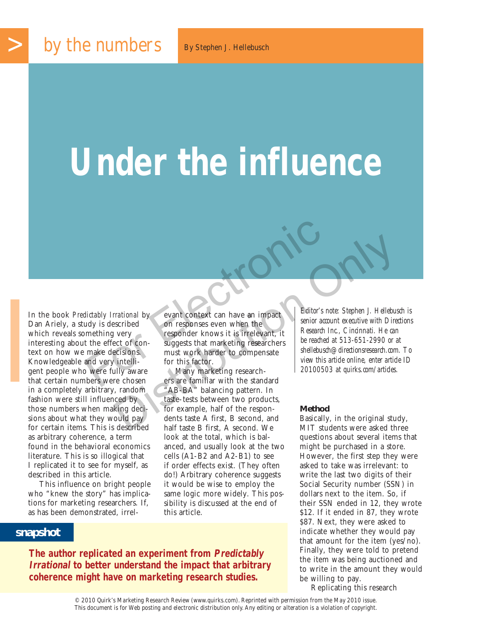# **Under the influence**

In the book *Predictably Irrational* by<br>
Dan Ariely, a study is described on responses even when the<br>
which reveals something very responder knows it is irrelevant, it<br>
interesting about the effect of con-<br>
interesting abo In the book *Predictably Irrational* by Dan Ariely, a study is described which reveals something very interesting about the effect of context on how we make decisions. Knowledgeable and very intelligent people who were fully aware that certain numbers were chosen in a completely arbitrary, random fashion were still influenced by those numbers when making decisions about what they would pay for certain items. This is described as arbitrary coherence, a term found in the behavioral economics literature. This is so illogical that I replicated it to see for myself, as described in this article.

This influence on bright people who "knew the story" has implications for marketing researchers. If, as has been demonstrated, irrel-

evant context can have an impact on responses even when the responder knows it is irrelevant, it suggests that marketing researchers must work harder to compensate for this factor. dictably Irrational by<br>
dictably Irrational by<br>
udy is described<br>
on responses even when the<br>
mething very<br>
responder knows it is irrelevant, it<br>
the effect of con-<br>
suggests that marketing researchers<br>
the make decisions.

Many marketing researchers are familiar with the standard "AB-BA" balancing pattern. In taste-tests between two products, for example, half of the respondents taste A first, B second, and half taste B first, A second. We look at the total, which is balanced, and usually look at the two cells (A1-B2 and A2-B1) to see if order effects exist. (They often do!) Arbitrary coherence suggests it would be wise to employ the same logic more widely. This possibility is discussed at the end of this article.  $\begin{tabular}{p{0.8cm}p{0.8cm}p{0.8cm}} \hline \textbf{rational by} & \textbf{event context can have an impact} \\ \hline \textbf{on responses even when the} & \textbf{self} & \textbf{self} & \textbf{self} & \textbf{self} & \textbf{self} \\ \hline \textbf{on responses even when the} & \textbf{self} & \textbf{self} & \textbf{self} & \textbf{self} & \textbf{self} \\ \hline \textbf{c} & \textbf{c} & \textbf{c} & \textbf{f} & \textbf{f} & \textbf{f} & \textbf{f} & \textbf{f} & \textbf{f} & \textbf{f$ 

*senior account executive with Directions Research Inc., Cincinnati. He can be reached at 513-651-2990 or at shellebusch@directionsresearch.com. To view this article online, enter article ID 20100503 at quirks.com/articles.*

#### **Method**

Basically, in the original study, MIT students were asked three questions about several items that might be purchased in a store. However, the first step they were asked to take was irrelevant: to write the last two digits of their Social Security number (SSN) in dollars next to the item. So, if their SSN ended in 12, they wrote \$12. If it ended in 87, they wrote \$87. Next, they were asked to indicate whether they would pay that amount for the item (yes/no). Finally, they were told to pretend the item was being auctioned and to write in the amount they would be willing to pay.

Replicating this research

## **snapshot**

**The author replicated an experiment from Predictably Irrational to better understand the impact that arbitrary coherence might have on marketing research studies.**

> © 2010 Quirk's Marketing Research Review (www.quirks.com). Reprinted with permission from the May 2010 issue. This document is for Web posting and electronic distribution only. Any editing or alteration is a violation of copyright.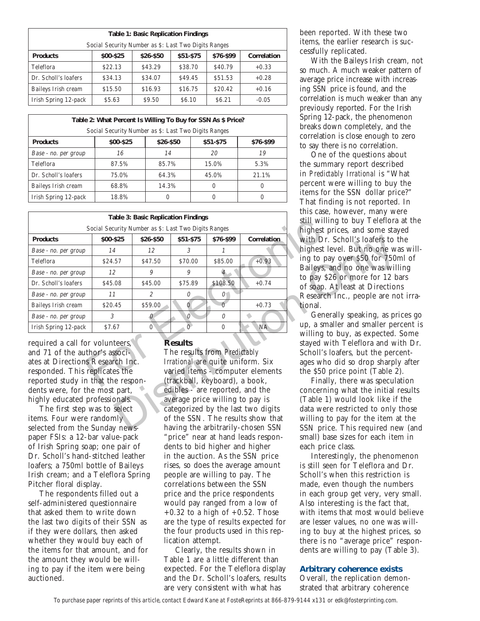| <b>Table 1: Basic Replication Findings</b> |                                                      |           |           |           |             |  |  |  |
|--------------------------------------------|------------------------------------------------------|-----------|-----------|-----------|-------------|--|--|--|
|                                            | Social Security Number as \$: Last Two Digits Ranges |           |           |           |             |  |  |  |
| <b>Products</b>                            | \$00-\$25                                            | \$26-\$50 | \$51-\$75 | \$76-\$99 | Correlation |  |  |  |
| Teleflora                                  | \$22.13                                              | \$43.29   | \$38.70   | \$40.79   | $+0.33$     |  |  |  |
| Dr. Scholl's loafers                       | \$34.13                                              | \$34.07   | \$49.45   | \$51.53   | $+0.28$     |  |  |  |
| Baileys Irish cream                        | \$15.50                                              | \$16.93   | \$16.75   | \$20.42   | $+0.16$     |  |  |  |
| Irish Spring 12-pack                       | \$5.63                                               | \$9.50    | \$6.10    | \$6.21    | $-0.05$     |  |  |  |

| Table 2: What Percent Is Willing To Buy for SSN As \$ Price? |           |           |           |           |  |  |
|--------------------------------------------------------------|-----------|-----------|-----------|-----------|--|--|
| Social Security Number as \$: Last Two Digits Ranges         |           |           |           |           |  |  |
| <b>Products</b>                                              | \$00-\$25 | \$26-\$50 | \$51-\$75 | \$76-\$99 |  |  |
| Base - no. per group                                         | 16        | 14        | 20        | 19        |  |  |
| Teleflora                                                    | 87.5%     | 85.7%     | 15.0%     | 5.3%      |  |  |
| Dr. Scholl's loafers                                         | 75.0%     | 64.3%     | 45.0%     | 21.1%     |  |  |
| Baileys Irish cream                                          | 68.8%     | 14.3%     | $\bigcap$ | $\bigcap$ |  |  |
| Irish Spring 12-pack                                         | 18.8%     |           | $\bigcap$ | $\bigcap$ |  |  |

|                                                                                                                                                                                                                                                                                                                                                                                                                                                                                      | this case, however, many we<br>still willing to buy Teleflora |               |                                                                         |           |                                                                                                                                                                                                                                                                 |                                                                 |
|--------------------------------------------------------------------------------------------------------------------------------------------------------------------------------------------------------------------------------------------------------------------------------------------------------------------------------------------------------------------------------------------------------------------------------------------------------------------------------------|---------------------------------------------------------------|---------------|-------------------------------------------------------------------------|-----------|-----------------------------------------------------------------------------------------------------------------------------------------------------------------------------------------------------------------------------------------------------------------|-----------------------------------------------------------------|
| Social Security Number as \$: Last Two Digits Ranges                                                                                                                                                                                                                                                                                                                                                                                                                                 | highest prices, and some stay                                 |               |                                                                         |           |                                                                                                                                                                                                                                                                 |                                                                 |
| <b>Products</b>                                                                                                                                                                                                                                                                                                                                                                                                                                                                      | \$00-\$25                                                     | \$26-\$50     | \$51-\$75                                                               | \$76-\$99 | Correlation                                                                                                                                                                                                                                                     | with Dr. Scholl's loafers to t                                  |
| Base - no. per group                                                                                                                                                                                                                                                                                                                                                                                                                                                                 | 14                                                            | 12            | 3                                                                       |           |                                                                                                                                                                                                                                                                 | highest level. But no one wa                                    |
| Teleflora                                                                                                                                                                                                                                                                                                                                                                                                                                                                            | \$24.57                                                       | \$47.50       | \$70.00                                                                 | \$85.00   | $+0.93$                                                                                                                                                                                                                                                         | ing to pay over \$50 for 750r                                   |
| Base - no. per group                                                                                                                                                                                                                                                                                                                                                                                                                                                                 | 12                                                            | 9             | 9                                                                       | 4         |                                                                                                                                                                                                                                                                 | Baileys, and no one was will                                    |
| Dr. Scholl's loafers                                                                                                                                                                                                                                                                                                                                                                                                                                                                 | \$45.08                                                       | \$45.00       | \$75.89                                                                 | \$108.50  | $+0.74$                                                                                                                                                                                                                                                         | to pay \$26 or more for 12 ba<br>of soap. At least at Direction |
| Base - no. per group                                                                                                                                                                                                                                                                                                                                                                                                                                                                 | 11                                                            | $\mathcal{P}$ | $\Omega$                                                                | 0         |                                                                                                                                                                                                                                                                 | Research Inc., people are no                                    |
| Baileys Irish cream                                                                                                                                                                                                                                                                                                                                                                                                                                                                  | \$20.45                                                       | \$59.00       | $\Omega$                                                                | $\Omega$  | $+0.73$                                                                                                                                                                                                                                                         | tional.                                                         |
| Base - no. per group                                                                                                                                                                                                                                                                                                                                                                                                                                                                 | 3                                                             | $\Omega$      | $\Omega$                                                                | $\Omega$  |                                                                                                                                                                                                                                                                 | Generally speaking, as pri                                      |
| Irish Spring 12-pack                                                                                                                                                                                                                                                                                                                                                                                                                                                                 | \$7.67                                                        | $\Omega$      | 0                                                                       | $\Omega$  | <b>NA</b>                                                                                                                                                                                                                                                       | up, a smaller and smaller per                                   |
| <b>Results</b><br>required a call for volunteers,<br>and 71 of the author's associ-<br>The results from Predictably<br>ates at Directions Research Inc.<br>Irrational are quite uniform. Six<br>responded. This replicates the<br>varied items - computer elements<br>reported study in that the respon-<br>(trackball, keyboard), a book,<br>dents were, for the most part,<br>edibles - are reported, and the<br>highly educated professionals.<br>average price willing to pay is |                                                               |               |                                                                         |           | willing to buy, as expected.<br>stayed with Teleflora and wi<br>Scholl's loafers, but the perc<br>ages who did so drop sharply<br>the \$50 price point (Table 2)<br>Finally, there was specula<br>concerning what the initial r<br>(Table 1) would look like if |                                                                 |
| The first step was to select<br>items. Four were randomly                                                                                                                                                                                                                                                                                                                                                                                                                            |                                                               |               | categorized by the last two digits<br>of the SSN. The results show that |           |                                                                                                                                                                                                                                                                 | data were restricted to only<br>willing to pay for the item a   |
| selected from the Sunday news-                                                                                                                                                                                                                                                                                                                                                                                                                                                       |                                                               |               | having the arbitrarily-chosen SSN                                       |           |                                                                                                                                                                                                                                                                 | SSN price. This required net                                    |

The first step was to select items. Four were randomly selected from the Sunday newspaper FSIs: a 12-bar value-pack of Irish Spring soap; one pair of Dr. Scholl's hand-stitched leather loafers; a 750ml bottle of Baileys Irish cream; and a Teleflora Spring Pitcher floral display.

The respondents filled out a self-administered questionnaire that asked them to write down the last two digits of their SSN as if they were dollars, then asked whether they would buy each of the items for that amount, and for the amount they would be willing to pay if the item were being auctioned.

### **Results**

The results from *Predictably Irrational* are quite uniform. Six varied items - computer elements (trackball, keyboard), a book, edibles - are reported, and the average price willing to pay is categorized by the last two digits of the SSN. The results show that having the arbitrarily-chosen SSN "price" near at hand leads respondents to bid higher and higher in the auction. As the SSN price rises, so does the average amount people are willing to pay. The correlations between the SSN price and the price respondents would pay ranged from a low of  $+0.32$  to a high of  $+0.52$ . Those are the type of results expected for the four products used in this replication attempt.

Clearly, the results shown in Table 1 are a little different than expected. For the Teleflora display and the Dr. Scholl's loafers, results are very consistent with what has

been reported. With these two items, the earlier research is successfully replicated.

With the Baileys Irish cream, not so much. A much weaker pattern of average price increase with increasing SSN price is found, and the correlation is much weaker than any previously reported. For the Irish Spring 12-pack, the phenomenon breaks down completely, and the correlation is close enough to zero to say there is no correlation.

One of the questions about the summary report described in *Predictably Irrational* is "What percent were willing to buy the items for the SSN dollar price?" That finding is not reported. In this case, however, many were still willing to buy Teleflora at the highest prices, and some stayed with Dr. Scholl's loafers to the highest level. But no one was willing to pay over \$50 for 750ml of Baileys, and no one was willing to pay \$26 or more for 12 bars of soap. At least at Directions Research Inc., people are not irrational.

Generally speaking, as prices go up, a smaller and smaller percent is willing to buy, as expected. Some stayed with Teleflora and with Dr. Scholl's loafers, but the percentages who did so drop sharply after the \$50 price point (Table 2).

Finally, there was speculation concerning what the initial results (Table 1) would look like if the data were restricted to only those willing to pay for the item at the SSN price. This required new (and small) base sizes for each item in each price class.

Interestingly, the phenomenon is still seen for Teleflora and Dr. Scholl's when this restriction is made, even though the numbers in each group get very, very small. Also interesting is the fact that, with items that most would believe are lesser values, no one was willing to buy at the highest prices, so there is no "average price" respondents are willing to pay (Table 3).

## **Arbitrary coherence exists**

Overall, the replication demonstrated that arbitrary coherence